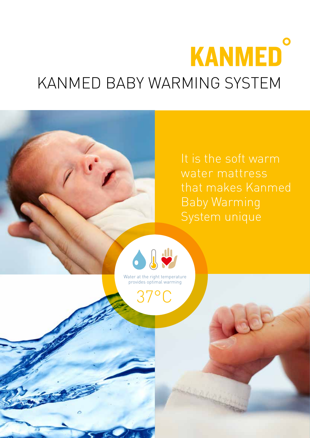# **KANMED** KANMED BABY WARMING SYSTEM

It is the soft warm water mattress that makes Kanmed Baby Warming System unique



Water at the right temperature provides optimal warming

37°C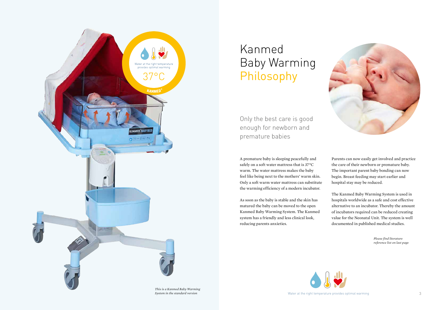## Kanmed Baby Warming Philosophy

A premature baby is sleeping peacefully and safely on a soft water mattress that is 37°C warm. The water mattress makes the baby feel like being next to the mothers' warm skin. Only a soft warm water mattress can substitute the warming efficiency of a modern incubator.

As soon as the baby is stable and the skin has matured the baby can be moved to the open Kanmed Baby Warming System. The Kanmed system has a friendly and less clinical look, reducing parents anxieties.





Parents can now easily get involved and practice the care of their newborn or premature baby. The important parent baby bonding can now begin. Breast feeding may start earlier and hospital stay may be reduced.

The Kanmed Baby Warming System is used in hospitals worldwide as a safe and cost effective alternative to an incubator. Thereby the amount of incubators required can be reduced creating value for the Neonatal Unit. The system is well documented in published medical studies.

Only the best care is good enough for newborn and premature babies



*This is a Kanmed Baby Warming System in the standard version*

*Please find literature reference list on last page*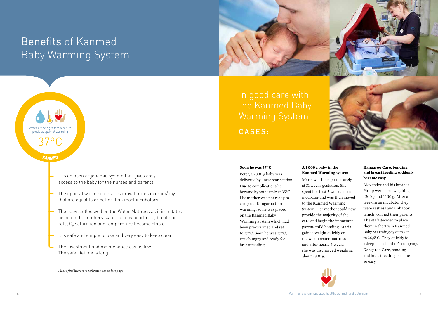

### Benefits of Kanmed Baby Warming System



#### **KANMED**

- It is an open ergonomic system that gives easy access to the baby for the nurses and parents.
- The optimal warming ensures growth rates in gram/day that are equal to or better than most incubators.
- The baby settles well on the Water Mattress as it immitates being on the mothers skin. Thereby heart rate, breathing rate,  ${\mathsf O}_{\scriptscriptstyle\! 2}$  saturation and temperature become stable.
- It is safe and simple to use and very easy to keep clean.
- The investment and maintenance cost is low. The safe lifetime is long.

*Please find literature reference list on last page*

#### **A 1 000 g baby in the Kanmed Warming system**

Maria was born prematurely at 31 weeks gestation. She spent her first 2 weeks in an incubator and was then moved to the Kanmed Warming System. Her mother could now provide the majority of the care and begin the important parent-child bonding. Maria gained weight quickly on the warm water mattress and after nearly 6 weeks she was discharged weighing about 2300 g.



#### **Kangaroo Care, bonding and breast feeding suddenly became easy**

Alexander and his brother Philip were born weighing 1200 g and 1400 g. After a week in an incubator they were restless and unhappy which worried their parents. The staff decided to place them in the Twin Kanmed Baby Warming System set to 36,6°C. They quickly fell asleep in each other's company. Kangaroo Care, bonding and breast feeding became so easy.

#### **Soon he was 37 °C**

Peter, a 2800 g baby was delivered by Caesarean section. Due to complications he became hypothermic at 35°C. His mother was not ready to carry out Kangaroo Care warming, so he was placed on the Kanmed Baby Warming System which had been pre-warmed and set to 37°C. Soon he was 37°C, very hungry and ready for breast feeding.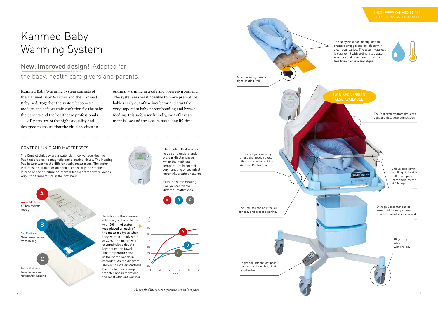### Kanmed Baby Warming System

The Control Unit powers a water tight low voltage Heating Pad that creates no magnetic and electrical fields. The Heating Pad in turn warms the different baby mattresses. The Water Mattress is suitable for all babies, especially the smallest. In case of power failure or internal transport the water looses very little temperature in the first hour.



to use and understand. A clear display shows when the mattress temperature is correct. Any handling or technical error will create an alarm.

With the same Heating Pad you can warm 3 different mattresses.

**A B C**

Kanmed Baby Warming System consists of the Kanmed Baby Warmer and the Kanmed Baby Bed. Together the system becomes a modern and safe warming solution for the baby, the parents and the healthcare professionals.

All parts are of the highest quality and designed to ensure that the child receives an TWIN BED VERSION ALSO AVAILABLE The Tent protects from draughts, light and visual overstimulation. Unique drop down handling of the side **NAMED RABYRE** walls. Just press them down instead of folding out. Storage Boxes that can be swung out for easy access (One box included as standard). Big/sturdy wheels with brakes

optimal warming in a safe and open environment. The system makes it possible to move premature babies early out of the incubator and start the very important baby parent bonding and breast feeding. It is safe, user freindly, cost of investment is low and the system has a long lifetime.

#### CONTROL UNIT AND MATTRESSES The Control Unit is easy

The Baby Nest can be adjusted to create a snugg sleeping place with clear boundaries. The Water Mattress is easy to fill with ordinary tap water. A water conditioner keeps the water free from bacteria and algae.





CHECK WWW.KANMED.SE FOR



efficiency a plastic bottle with 500 ml of water was placed on each of the mattress types when they were in steady state at 37°C. The bottle was covered with a double layer of cotton towel. The temperature rise in the water was then recorded. As the diagram shows, the Water Mattress has the highest energy transfer and is therefore the most efficient warmer.



#### New, improved design! Adapted for the baby, health care givers and parents.

*Please find literature reference list on last page*